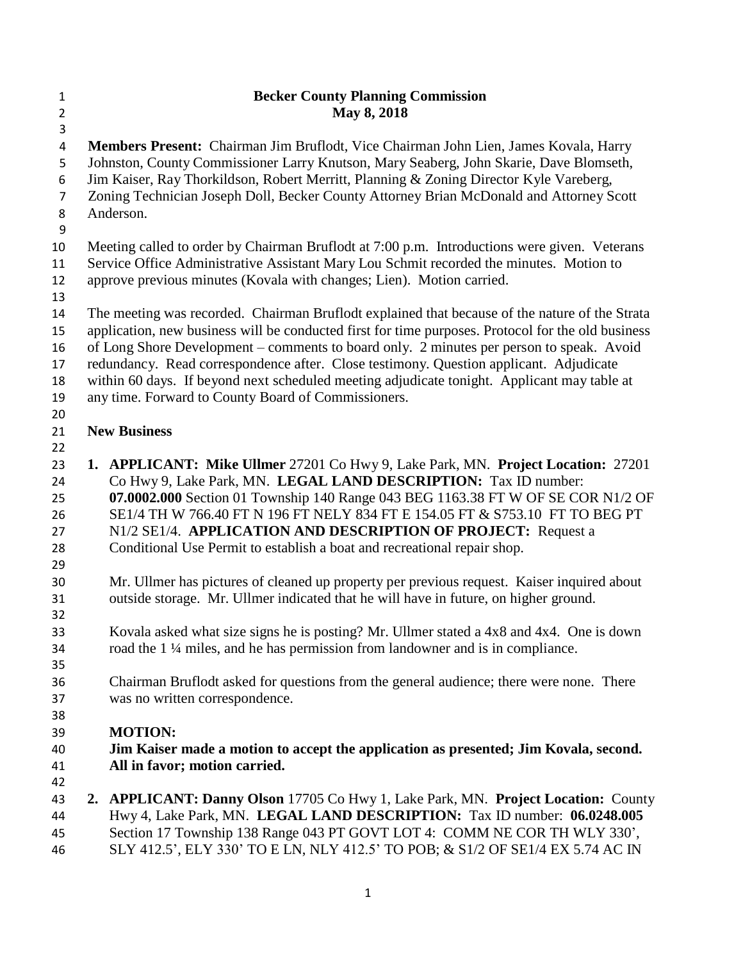| $\mathbf{1}$   | <b>Becker County Planning Commission</b>                                                                                                                                                                                                |  |  |  |  |
|----------------|-----------------------------------------------------------------------------------------------------------------------------------------------------------------------------------------------------------------------------------------|--|--|--|--|
| $\overline{2}$ | May 8, 2018                                                                                                                                                                                                                             |  |  |  |  |
| 3              |                                                                                                                                                                                                                                         |  |  |  |  |
| 4              | Members Present: Chairman Jim Bruflodt, Vice Chairman John Lien, James Kovala, Harry                                                                                                                                                    |  |  |  |  |
| 5<br>6         | Johnston, County Commissioner Larry Knutson, Mary Seaberg, John Skarie, Dave Blomseth,<br>Jim Kaiser, Ray Thorkildson, Robert Merritt, Planning & Zoning Director Kyle Vareberg,                                                        |  |  |  |  |
| 7              | Zoning Technician Joseph Doll, Becker County Attorney Brian McDonald and Attorney Scott                                                                                                                                                 |  |  |  |  |
| 8              | Anderson.                                                                                                                                                                                                                               |  |  |  |  |
| 9              |                                                                                                                                                                                                                                         |  |  |  |  |
| 10             | Meeting called to order by Chairman Bruflodt at 7:00 p.m. Introductions were given. Veterans                                                                                                                                            |  |  |  |  |
| 11<br>12       | Service Office Administrative Assistant Mary Lou Schmit recorded the minutes. Motion to<br>approve previous minutes (Kovala with changes; Lien). Motion carried.                                                                        |  |  |  |  |
| 13             |                                                                                                                                                                                                                                         |  |  |  |  |
| 14             | The meeting was recorded. Chairman Bruflodt explained that because of the nature of the Strata                                                                                                                                          |  |  |  |  |
| 15<br>16       | application, new business will be conducted first for time purposes. Protocol for the old business<br>of Long Shore Development - comments to board only. 2 minutes per person to speak. Avoid                                          |  |  |  |  |
| 17             | redundancy. Read correspondence after. Close testimony. Question applicant. Adjudicate                                                                                                                                                  |  |  |  |  |
| 18             | within 60 days. If beyond next scheduled meeting adjudicate tonight. Applicant may table at                                                                                                                                             |  |  |  |  |
| 19             | any time. Forward to County Board of Commissioners.                                                                                                                                                                                     |  |  |  |  |
| 20             |                                                                                                                                                                                                                                         |  |  |  |  |
| 21             | <b>New Business</b>                                                                                                                                                                                                                     |  |  |  |  |
| 22             |                                                                                                                                                                                                                                         |  |  |  |  |
| 23             | 1. APPLICANT: Mike Ullmer 27201 Co Hwy 9, Lake Park, MN. Project Location: 27201                                                                                                                                                        |  |  |  |  |
| 24             | Co Hwy 9, Lake Park, MN. LEGAL LAND DESCRIPTION: Tax ID number:                                                                                                                                                                         |  |  |  |  |
| 25             | 07.0002.000 Section 01 Township 140 Range 043 BEG 1163.38 FT W OF SE COR N1/2 OF                                                                                                                                                        |  |  |  |  |
| 26             | SE1/4 TH W 766.40 FT N 196 FT NELY 834 FT E 154.05 FT & S753.10 FT TO BEG PT                                                                                                                                                            |  |  |  |  |
| 27             | N1/2 SE1/4. APPLICATION AND DESCRIPTION OF PROJECT: Request a                                                                                                                                                                           |  |  |  |  |
| 28             | Conditional Use Permit to establish a boat and recreational repair shop.                                                                                                                                                                |  |  |  |  |
| 29             |                                                                                                                                                                                                                                         |  |  |  |  |
| 30             | Mr. Ullmer has pictures of cleaned up property per previous request. Kaiser inquired about                                                                                                                                              |  |  |  |  |
| 31             | outside storage. Mr. Ullmer indicated that he will have in future, on higher ground.                                                                                                                                                    |  |  |  |  |
| 32             |                                                                                                                                                                                                                                         |  |  |  |  |
| 33             | Kovala asked what size signs he is posting? Mr. Ullmer stated a 4x8 and 4x4. One is down                                                                                                                                                |  |  |  |  |
| 34             | road the 1 ¼ miles, and he has permission from landowner and is in compliance.                                                                                                                                                          |  |  |  |  |
| 35             |                                                                                                                                                                                                                                         |  |  |  |  |
| 36             | Chairman Bruflodt asked for questions from the general audience; there were none. There                                                                                                                                                 |  |  |  |  |
| 37             | was no written correspondence.                                                                                                                                                                                                          |  |  |  |  |
| 38             |                                                                                                                                                                                                                                         |  |  |  |  |
| 39             | <b>MOTION:</b>                                                                                                                                                                                                                          |  |  |  |  |
| 40             | Jim Kaiser made a motion to accept the application as presented; Jim Kovala, second.                                                                                                                                                    |  |  |  |  |
| 41             | All in favor; motion carried.                                                                                                                                                                                                           |  |  |  |  |
| 42             |                                                                                                                                                                                                                                         |  |  |  |  |
| 43             | 2. APPLICANT: Danny Olson 17705 Co Hwy 1, Lake Park, MN. Project Location: County                                                                                                                                                       |  |  |  |  |
| 44<br>45<br>46 | Hwy 4, Lake Park, MN. LEGAL LAND DESCRIPTION: Tax ID number: 06.0248.005<br>Section 17 Township 138 Range 043 PT GOVT LOT 4: COMM NE COR TH WLY 330',<br>SLY 412.5', ELY 330' TO E LN, NLY 412.5' TO POB; & S1/2 OF SE1/4 EX 5.74 AC IN |  |  |  |  |
|                |                                                                                                                                                                                                                                         |  |  |  |  |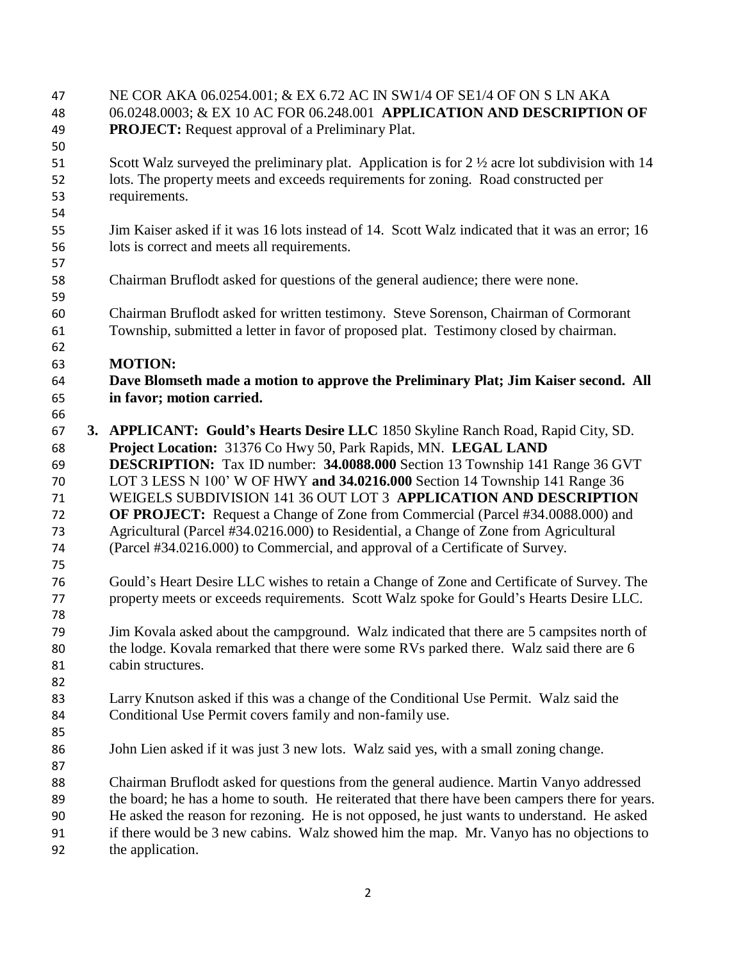| 47<br>48       |                                                                | NE COR AKA 06.0254.001; & EX 6.72 AC IN SW1/4 OF SE1/4 OF ON S LN AKA<br>06.0248.0003; & EX 10 AC FOR 06.248.001 APPLICATION AND DESCRIPTION OF                                                |  |  |
|----------------|----------------------------------------------------------------|------------------------------------------------------------------------------------------------------------------------------------------------------------------------------------------------|--|--|
| 49<br>50       |                                                                | <b>PROJECT:</b> Request approval of a Preliminary Plat.                                                                                                                                        |  |  |
| 51<br>52       |                                                                | Scott Walz surveyed the preliminary plat. Application is for $2\frac{1}{2}$ acre lot subdivision with 14<br>lots. The property meets and exceeds requirements for zoning. Road constructed per |  |  |
| 53<br>54       |                                                                | requirements.                                                                                                                                                                                  |  |  |
| 55<br>56<br>57 |                                                                | Jim Kaiser asked if it was 16 lots instead of 14. Scott Walz indicated that it was an error; 16<br>lots is correct and meets all requirements.                                                 |  |  |
| 58<br>59       |                                                                | Chairman Bruflodt asked for questions of the general audience; there were none.                                                                                                                |  |  |
| 60<br>61<br>62 |                                                                | Chairman Bruflodt asked for written testimony. Steve Sorenson, Chairman of Cormorant<br>Township, submitted a letter in favor of proposed plat. Testimony closed by chairman.                  |  |  |
| 63<br>64       |                                                                | <b>MOTION:</b><br>Dave Blomseth made a motion to approve the Preliminary Plat; Jim Kaiser second. All                                                                                          |  |  |
| 65             |                                                                | in favor; motion carried.                                                                                                                                                                      |  |  |
| 66             |                                                                |                                                                                                                                                                                                |  |  |
| 67             |                                                                | 3. APPLICANT: Gould's Hearts Desire LLC 1850 Skyline Ranch Road, Rapid City, SD.                                                                                                               |  |  |
| 68             | Project Location: 31376 Co Hwy 50, Park Rapids, MN. LEGAL LAND |                                                                                                                                                                                                |  |  |
| 69             |                                                                | <b>DESCRIPTION:</b> Tax ID number: 34.0088.000 Section 13 Township 141 Range 36 GVT                                                                                                            |  |  |
| 70             |                                                                | LOT 3 LESS N 100' W OF HWY and 34.0216.000 Section 14 Township 141 Range 36                                                                                                                    |  |  |
| 71             |                                                                | WEIGELS SUBDIVISION 141 36 OUT LOT 3 APPLICATION AND DESCRIPTION                                                                                                                               |  |  |
| 72             |                                                                | <b>OF PROJECT:</b> Request a Change of Zone from Commercial (Parcel #34.0088.000) and                                                                                                          |  |  |
| 73             |                                                                | Agricultural (Parcel #34.0216.000) to Residential, a Change of Zone from Agricultural                                                                                                          |  |  |
| 74<br>75       |                                                                | (Parcel #34.0216.000) to Commercial, and approval of a Certificate of Survey.                                                                                                                  |  |  |
| 76             |                                                                | Gould's Heart Desire LLC wishes to retain a Change of Zone and Certificate of Survey. The                                                                                                      |  |  |
| 77<br>78       |                                                                | property meets or exceeds requirements. Scott Walz spoke for Gould's Hearts Desire LLC.                                                                                                        |  |  |
| 79             |                                                                | Jim Kovala asked about the campground. Walz indicated that there are 5 campsites north of                                                                                                      |  |  |
| 80             |                                                                | the lodge. Kovala remarked that there were some RVs parked there. Walz said there are 6                                                                                                        |  |  |
| 81<br>82       |                                                                | cabin structures.                                                                                                                                                                              |  |  |
| 83             |                                                                | Larry Knutson asked if this was a change of the Conditional Use Permit. Walz said the                                                                                                          |  |  |
| 84<br>85       |                                                                | Conditional Use Permit covers family and non-family use.                                                                                                                                       |  |  |
| 86<br>87       |                                                                | John Lien asked if it was just 3 new lots. Walz said yes, with a small zoning change.                                                                                                          |  |  |
| 88             |                                                                | Chairman Bruflodt asked for questions from the general audience. Martin Vanyo addressed                                                                                                        |  |  |
| 89             |                                                                | the board; he has a home to south. He reiterated that there have been campers there for years.                                                                                                 |  |  |
| 90             |                                                                | He asked the reason for rezoning. He is not opposed, he just wants to understand. He asked                                                                                                     |  |  |
| 91<br>92       |                                                                | if there would be 3 new cabins. Walz showed him the map. Mr. Vanyo has no objections to<br>the application.                                                                                    |  |  |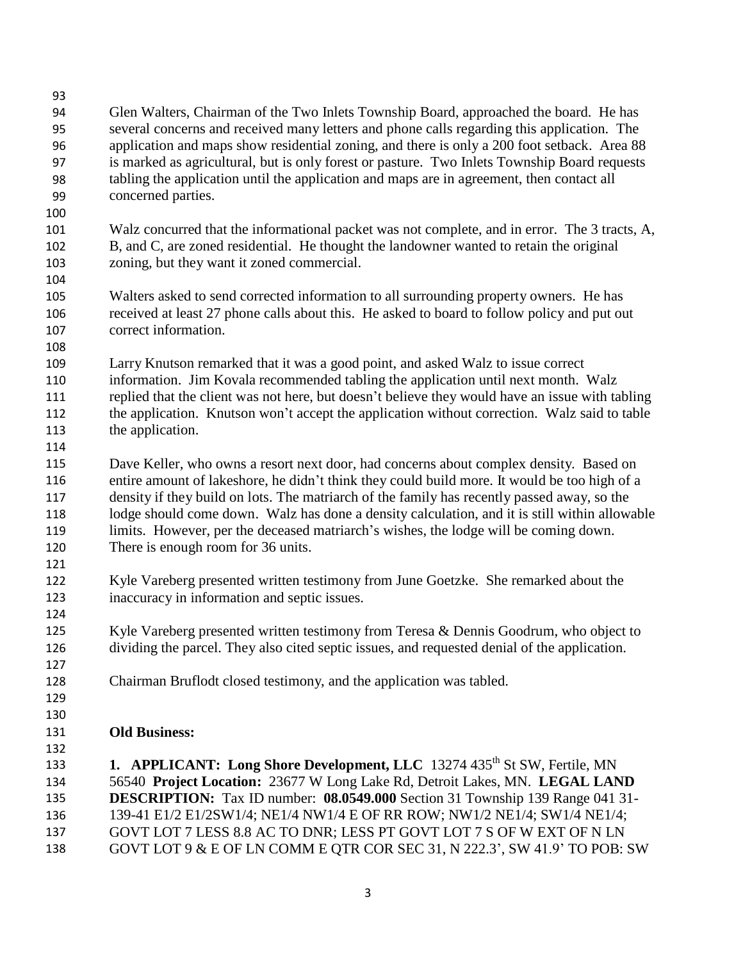93 94 95 96 97 98 99 100 101 102 103 104 105 106 107 108 109 110 111 112 113 114 115 116 117 118 119 120 121 122 123 124 125 126 127 128 129 130 131 132 133 134 135 136 137 138 Glen Walters, Chairman of the Two Inlets Township Board, approached the board. He has several concerns and received many letters and phone calls regarding this application. The application and maps show residential zoning, and there is only a 200 foot setback. Area 88 is marked as agricultural, but is only forest or pasture. Two Inlets Township Board requests tabling the application until the application and maps are in agreement, then contact all concerned parties. Walz concurred that the informational packet was not complete, and in error. The 3 tracts, A, B, and C, are zoned residential. He thought the landowner wanted to retain the original zoning, but they want it zoned commercial. Walters asked to send corrected information to all surrounding property owners. He has received at least 27 phone calls about this. He asked to board to follow policy and put out correct information. Larry Knutson remarked that it was a good point, and asked Walz to issue correct information. Jim Kovala recommended tabling the application until next month. Walz replied that the client was not here, but doesn't believe they would have an issue with tabling the application. Knutson won't accept the application without correction. Walz said to table the application. Dave Keller, who owns a resort next door, had concerns about complex density. Based on entire amount of lakeshore, he didn't think they could build more. It would be too high of a density if they build on lots. The matriarch of the family has recently passed away, so the lodge should come down. Walz has done a density calculation, and it is still within allowable limits. However, per the deceased matriarch's wishes, the lodge will be coming down. There is enough room for 36 units. Kyle Vareberg presented written testimony from June Goetzke. She remarked about the inaccuracy in information and septic issues. Kyle Vareberg presented written testimony from Teresa & Dennis Goodrum, who object to dividing the parcel. They also cited septic issues, and requested denial of the application. Chairman Bruflodt closed testimony, and the application was tabled. **Old Business:** 1. APPLICANT: Long Shore Development, LLC 13274 435<sup>th</sup> St SW, Fertile, MN 56540 **Project Location:** 23677 W Long Lake Rd, Detroit Lakes, MN. **LEGAL LAND DESCRIPTION:** Tax ID number: **08.0549.000** Section 31 Township 139 Range 041 31- 139-41 E1/2 E1/2SW1/4; NE1/4 NW1/4 E OF RR ROW; NW1/2 NE1/4; SW1/4 NE1/4; GOVT LOT 7 LESS 8.8 AC TO DNR; LESS PT GOVT LOT 7 S OF W EXT OF N LN GOVT LOT 9 & E OF LN COMM E QTR COR SEC 31, N 222.3', SW 41.9' TO POB: SW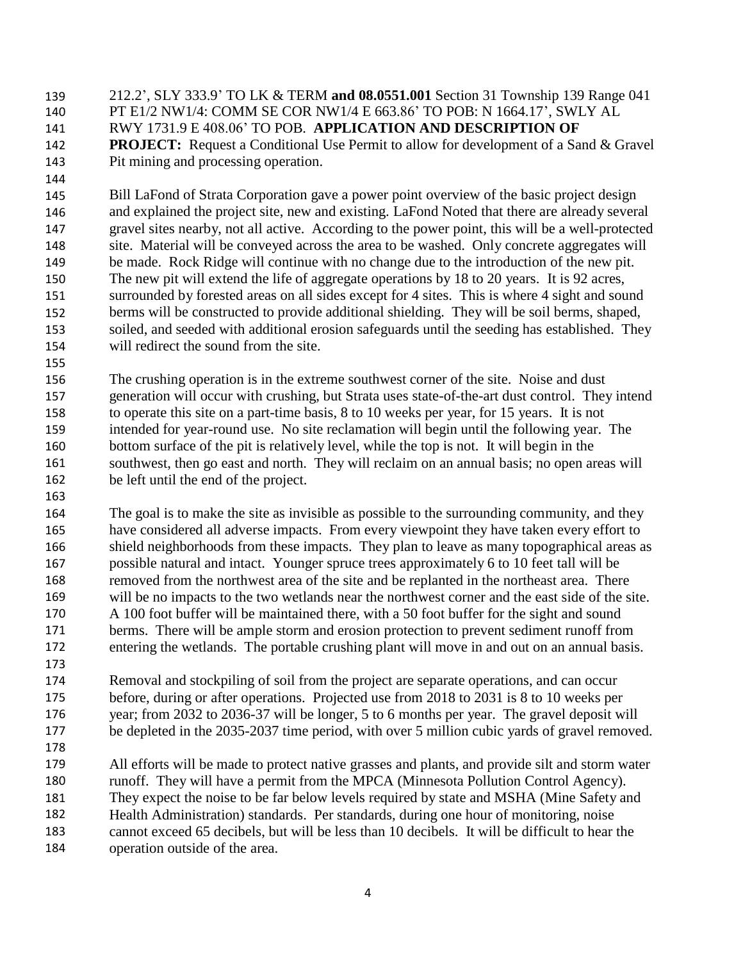139 212.2', SLY 333.9' TO LK & TERM **and 08.0551.001** Section 31 Township 139 Range 041 140 141 142 143 PT E1/2 NW1/4: COMM SE COR NW1/4 E 663.86' TO POB: N 1664.17', SWLY AL RWY 1731.9 E 408.06' TO POB. **APPLICATION AND DESCRIPTION OF PROJECT:** Request a Conditional Use Permit to allow for development of a Sand & Gravel Pit mining and processing operation.

145 146 147 148 149 150 151 152 153 154 Bill LaFond of Strata Corporation gave a power point overview of the basic project design and explained the project site, new and existing. LaFond Noted that there are already several gravel sites nearby, not all active. According to the power point, this will be a well-protected site. Material will be conveyed across the area to be washed. Only concrete aggregates will be made. Rock Ridge will continue with no change due to the introduction of the new pit. The new pit will extend the life of aggregate operations by 18 to 20 years. It is 92 acres, surrounded by forested areas on all sides except for 4 sites. This is where 4 sight and sound berms will be constructed to provide additional shielding. They will be soil berms, shaped, soiled, and seeded with additional erosion safeguards until the seeding has established. They will redirect the sound from the site.

156 157 158 159 160 161 162 The crushing operation is in the extreme southwest corner of the site. Noise and dust generation will occur with crushing, but Strata uses state-of-the-art dust control. They intend to operate this site on a part-time basis, 8 to 10 weeks per year, for 15 years. It is not intended for year-round use. No site reclamation will begin until the following year. The bottom surface of the pit is relatively level, while the top is not. It will begin in the southwest, then go east and north. They will reclaim on an annual basis; no open areas will be left until the end of the project.

164 165 166 167 168 169 170 171 172 The goal is to make the site as invisible as possible to the surrounding community, and they have considered all adverse impacts. From every viewpoint they have taken every effort to shield neighborhoods from these impacts. They plan to leave as many topographical areas as possible natural and intact. Younger spruce trees approximately 6 to 10 feet tall will be removed from the northwest area of the site and be replanted in the northeast area. There will be no impacts to the two wetlands near the northwest corner and the east side of the site. A 100 foot buffer will be maintained there, with a 50 foot buffer for the sight and sound berms. There will be ample storm and erosion protection to prevent sediment runoff from entering the wetlands. The portable crushing plant will move in and out on an annual basis.

174 175 176 177 Removal and stockpiling of soil from the project are separate operations, and can occur before, during or after operations. Projected use from 2018 to 2031 is 8 to 10 weeks per year; from 2032 to 2036-37 will be longer, 5 to 6 months per year. The gravel deposit will be depleted in the 2035-2037 time period, with over 5 million cubic yards of gravel removed.

178

173

144

155

163

179 180 181 182 183 184 All efforts will be made to protect native grasses and plants, and provide silt and storm water runoff. They will have a permit from the MPCA (Minnesota Pollution Control Agency). They expect the noise to be far below levels required by state and MSHA (Mine Safety and Health Administration) standards. Per standards, during one hour of monitoring, noise cannot exceed 65 decibels, but will be less than 10 decibels. It will be difficult to hear the operation outside of the area.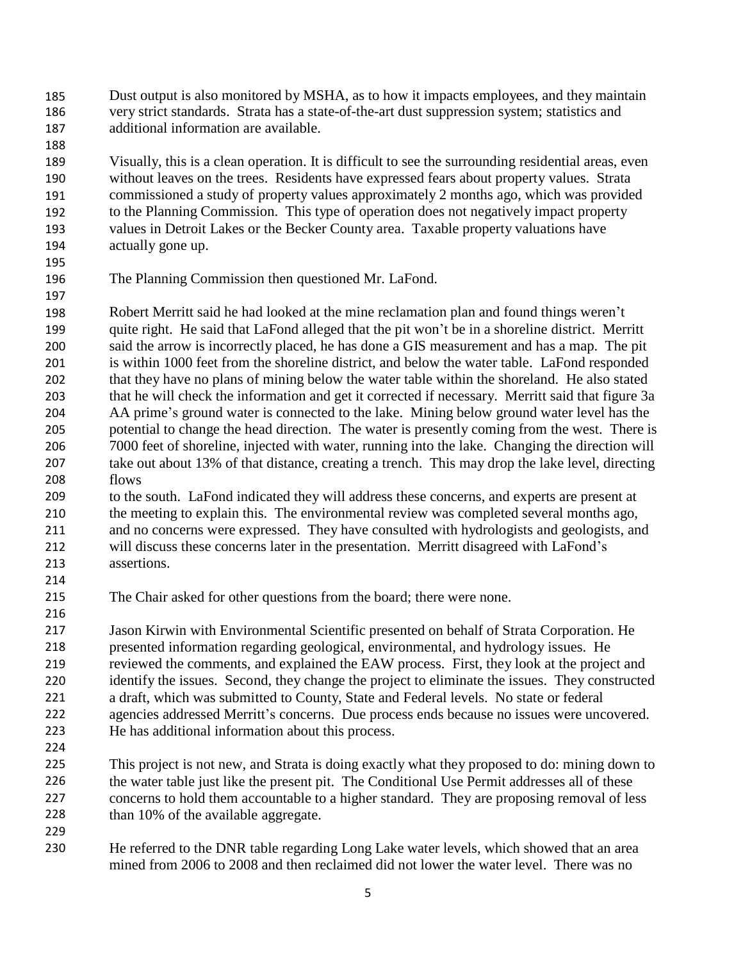185 Dust output is also monitored by MSHA, as to how it impacts employees, and they maintain 186 187 very strict standards. Strata has a state-of-the-art dust suppression system; statistics and additional information are available.

189 190 191 192 193 194 Visually, this is a clean operation. It is difficult to see the surrounding residential areas, even without leaves on the trees. Residents have expressed fears about property values. Strata commissioned a study of property values approximately 2 months ago, which was provided to the Planning Commission. This type of operation does not negatively impact property values in Detroit Lakes or the Becker County area. Taxable property valuations have actually gone up.

195

197

188

196 The Planning Commission then questioned Mr. LaFond.

198 199 200 201 202 203 204 205 206 207 208 Robert Merritt said he had looked at the mine reclamation plan and found things weren't quite right. He said that LaFond alleged that the pit won't be in a shoreline district. Merritt said the arrow is incorrectly placed, he has done a GIS measurement and has a map. The pit is within 1000 feet from the shoreline district, and below the water table. LaFond responded that they have no plans of mining below the water table within the shoreland. He also stated that he will check the information and get it corrected if necessary. Merritt said that figure 3a AA prime's ground water is connected to the lake. Mining below ground water level has the potential to change the head direction. The water is presently coming from the west. There is 7000 feet of shoreline, injected with water, running into the lake. Changing the direction will take out about 13% of that distance, creating a trench. This may drop the lake level, directing flows

- 209 210 211 212 213 to the south. LaFond indicated they will address these concerns, and experts are present at the meeting to explain this. The environmental review was completed several months ago, and no concerns were expressed. They have consulted with hydrologists and geologists, and will discuss these concerns later in the presentation. Merritt disagreed with LaFond's assertions.
- 215 The Chair asked for other questions from the board; there were none.

217 218 219 220 221 222 223 Jason Kirwin with Environmental Scientific presented on behalf of Strata Corporation. He presented information regarding geological, environmental, and hydrology issues. He reviewed the comments, and explained the EAW process. First, they look at the project and identify the issues. Second, they change the project to eliminate the issues. They constructed a draft, which was submitted to County, State and Federal levels. No state or federal agencies addressed Merritt's concerns. Due process ends because no issues were uncovered. He has additional information about this process.

224

214

216

225 226 227 228 This project is not new, and Strata is doing exactly what they proposed to do: mining down to the water table just like the present pit. The Conditional Use Permit addresses all of these concerns to hold them accountable to a higher standard. They are proposing removal of less than 10% of the available aggregate.

229

230 He referred to the DNR table regarding Long Lake water levels, which showed that an area mined from 2006 to 2008 and then reclaimed did not lower the water level. There was no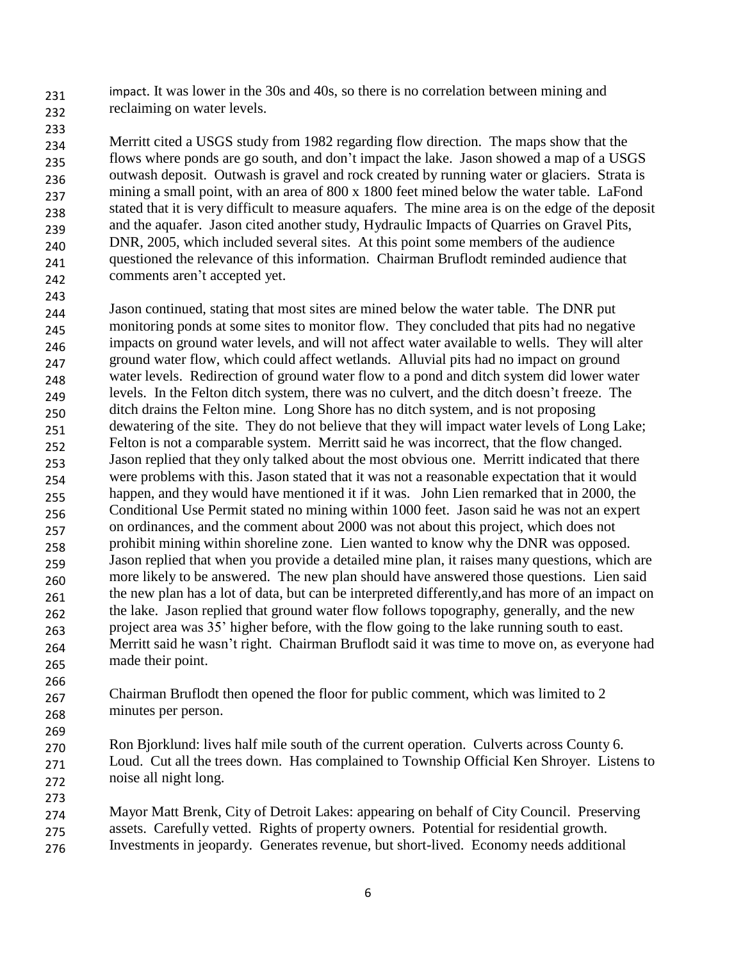231 232 impact. It was lower in the 30s and 40s, so there is no correlation between mining and reclaiming on water levels.

233

234 235 236 237 238 239 240 241 242 Merritt cited a USGS study from 1982 regarding flow direction. The maps show that the flows where ponds are go south, and don't impact the lake. Jason showed a map of a USGS outwash deposit. Outwash is gravel and rock created by running water or glaciers. Strata is mining a small point, with an area of 800 x 1800 feet mined below the water table. LaFond stated that it is very difficult to measure aquafers. The mine area is on the edge of the deposit and the aquafer. Jason cited another study, Hydraulic Impacts of Quarries on Gravel Pits, DNR, 2005, which included several sites. At this point some members of the audience questioned the relevance of this information. Chairman Bruflodt reminded audience that comments aren't accepted yet.

243 244 245 246 247 248 249 250 251 252 253 254 255 256 257 258 259 260 261 262 263 264 265 Jason continued, stating that most sites are mined below the water table. The DNR put monitoring ponds at some sites to monitor flow. They concluded that pits had no negative impacts on ground water levels, and will not affect water available to wells. They will alter ground water flow, which could affect wetlands. Alluvial pits had no impact on ground water levels. Redirection of ground water flow to a pond and ditch system did lower water levels. In the Felton ditch system, there was no culvert, and the ditch doesn't freeze. The ditch drains the Felton mine. Long Shore has no ditch system, and is not proposing dewatering of the site. They do not believe that they will impact water levels of Long Lake; Felton is not a comparable system. Merritt said he was incorrect, that the flow changed. Jason replied that they only talked about the most obvious one. Merritt indicated that there were problems with this. Jason stated that it was not a reasonable expectation that it would happen, and they would have mentioned it if it was. John Lien remarked that in 2000, the Conditional Use Permit stated no mining within 1000 feet. Jason said he was not an expert on ordinances, and the comment about 2000 was not about this project, which does not prohibit mining within shoreline zone. Lien wanted to know why the DNR was opposed. Jason replied that when you provide a detailed mine plan, it raises many questions, which are more likely to be answered. The new plan should have answered those questions. Lien said the new plan has a lot of data, but can be interpreted differently,and has more of an impact on the lake. Jason replied that ground water flow follows topography, generally, and the new project area was 35' higher before, with the flow going to the lake running south to east. Merritt said he wasn't right. Chairman Bruflodt said it was time to move on, as everyone had made their point.

266 267 268 Chairman Bruflodt then opened the floor for public comment, which was limited to 2 minutes per person.

269 270 271 272 Ron Bjorklund: lives half mile south of the current operation. Culverts across County 6. Loud. Cut all the trees down. Has complained to Township Official Ken Shroyer. Listens to noise all night long.

273 274 275 276 Mayor Matt Brenk, City of Detroit Lakes: appearing on behalf of City Council. Preserving assets. Carefully vetted. Rights of property owners. Potential for residential growth. Investments in jeopardy. Generates revenue, but short-lived. Economy needs additional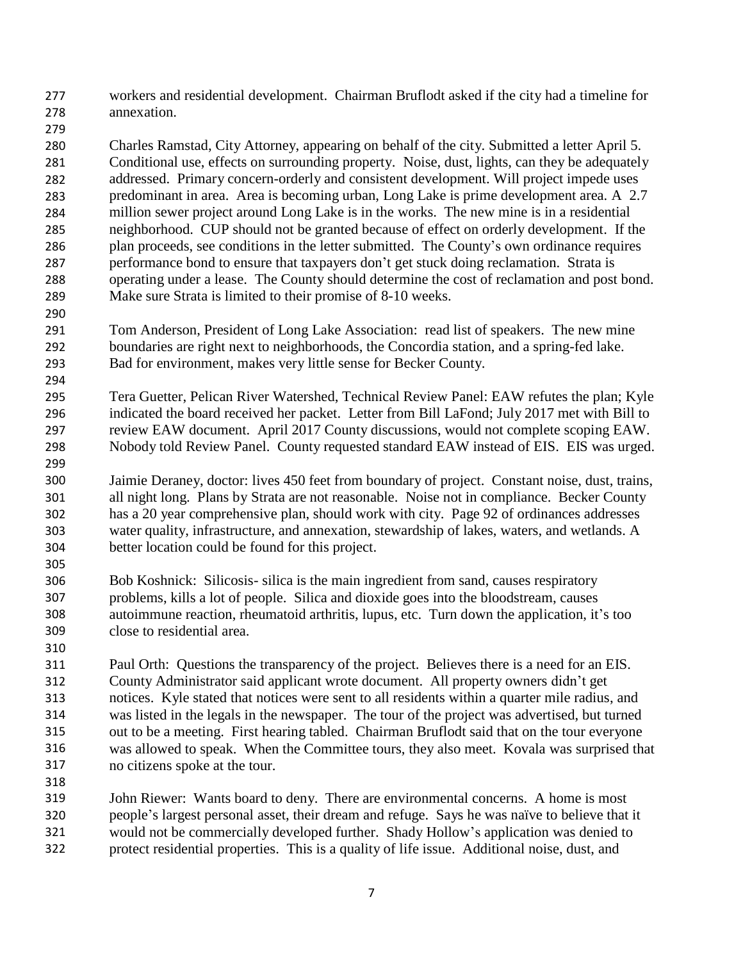277 278 workers and residential development. Chairman Bruflodt asked if the city had a timeline for annexation.

280 281 282 283 284 285 286 287 288 289 Charles Ramstad, City Attorney, appearing on behalf of the city. Submitted a letter April 5. Conditional use, effects on surrounding property. Noise, dust, lights, can they be adequately addressed. Primary concern-orderly and consistent development. Will project impede uses predominant in area. Area is becoming urban, Long Lake is prime development area. A 2.7 million sewer project around Long Lake is in the works. The new mine is in a residential neighborhood. CUP should not be granted because of effect on orderly development. If the plan proceeds, see conditions in the letter submitted. The County's own ordinance requires performance bond to ensure that taxpayers don't get stuck doing reclamation. Strata is operating under a lease. The County should determine the cost of reclamation and post bond. Make sure Strata is limited to their promise of 8-10 weeks.

- 291 292 293 Tom Anderson, President of Long Lake Association: read list of speakers. The new mine boundaries are right next to neighborhoods, the Concordia station, and a spring-fed lake. Bad for environment, makes very little sense for Becker County.
- 295 296 297 298 Tera Guetter, Pelican River Watershed, Technical Review Panel: EAW refutes the plan; Kyle indicated the board received her packet. Letter from Bill LaFond; July 2017 met with Bill to review EAW document. April 2017 County discussions, would not complete scoping EAW. Nobody told Review Panel. County requested standard EAW instead of EIS. EIS was urged.
- 300 301 302 303 304 Jaimie Deraney, doctor: lives 450 feet from boundary of project. Constant noise, dust, trains, all night long. Plans by Strata are not reasonable. Noise not in compliance. Becker County has a 20 year comprehensive plan, should work with city. Page 92 of ordinances addresses water quality, infrastructure, and annexation, stewardship of lakes, waters, and wetlands. A better location could be found for this project.
- 306 307 308 309 Bob Koshnick: Silicosis- silica is the main ingredient from sand, causes respiratory problems, kills a lot of people. Silica and dioxide goes into the bloodstream, causes autoimmune reaction, rheumatoid arthritis, lupus, etc. Turn down the application, it's too close to residential area.
- 311 312 313 314 315 316 317 Paul Orth: Questions the transparency of the project. Believes there is a need for an EIS. County Administrator said applicant wrote document. All property owners didn't get notices. Kyle stated that notices were sent to all residents within a quarter mile radius, and was listed in the legals in the newspaper. The tour of the project was advertised, but turned out to be a meeting. First hearing tabled. Chairman Bruflodt said that on the tour everyone was allowed to speak. When the Committee tours, they also meet. Kovala was surprised that no citizens spoke at the tour.
- 318

279

290

294

299

305

310

319 320 321 322 John Riewer: Wants board to deny. There are environmental concerns. A home is most people's largest personal asset, their dream and refuge. Says he was naïve to believe that it would not be commercially developed further. Shady Hollow's application was denied to protect residential properties. This is a quality of life issue. Additional noise, dust, and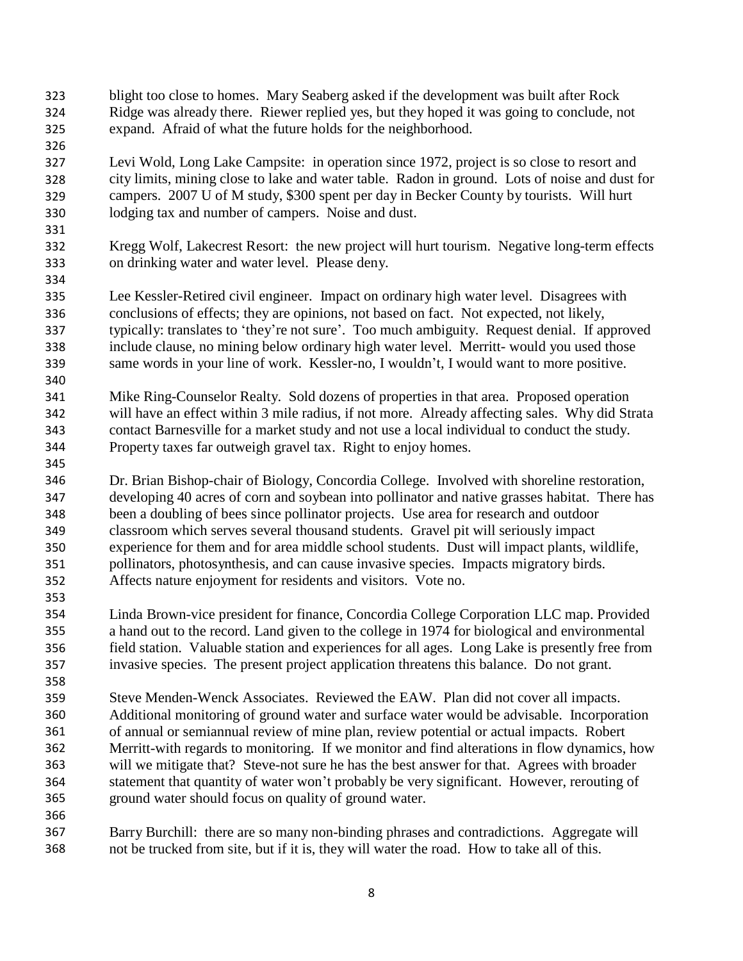323 324 325 blight too close to homes. Mary Seaberg asked if the development was built after Rock Ridge was already there. Riewer replied yes, but they hoped it was going to conclude, not expand. Afraid of what the future holds for the neighborhood.

326

331

334

340

345

353

358

- 327 328 329 330 Levi Wold, Long Lake Campsite: in operation since 1972, project is so close to resort and city limits, mining close to lake and water table. Radon in ground. Lots of noise and dust for campers. 2007 U of M study, \$300 spent per day in Becker County by tourists. Will hurt lodging tax and number of campers. Noise and dust.
- 332 333 Kregg Wolf, Lakecrest Resort: the new project will hurt tourism. Negative long-term effects on drinking water and water level. Please deny.
- 335 336 337 338 339 Lee Kessler-Retired civil engineer. Impact on ordinary high water level. Disagrees with conclusions of effects; they are opinions, not based on fact. Not expected, not likely, typically: translates to 'they're not sure'. Too much ambiguity. Request denial. If approved include clause, no mining below ordinary high water level. Merritt- would you used those same words in your line of work. Kessler-no, I wouldn't, I would want to more positive.
- 341 342 343 344 Mike Ring-Counselor Realty. Sold dozens of properties in that area. Proposed operation will have an effect within 3 mile radius, if not more. Already affecting sales. Why did Strata contact Barnesville for a market study and not use a local individual to conduct the study. Property taxes far outweigh gravel tax. Right to enjoy homes.
- 346 347 348 349 350 351 352 Dr. Brian Bishop-chair of Biology, Concordia College. Involved with shoreline restoration, developing 40 acres of corn and soybean into pollinator and native grasses habitat. There has been a doubling of bees since pollinator projects. Use area for research and outdoor classroom which serves several thousand students. Gravel pit will seriously impact experience for them and for area middle school students. Dust will impact plants, wildlife, pollinators, photosynthesis, and can cause invasive species. Impacts migratory birds. Affects nature enjoyment for residents and visitors. Vote no.
- 354 355 356 357 Linda Brown-vice president for finance, Concordia College Corporation LLC map. Provided a hand out to the record. Land given to the college in 1974 for biological and environmental field station. Valuable station and experiences for all ages. Long Lake is presently free from invasive species. The present project application threatens this balance. Do not grant.
- 359 360 361 362 363 364 365 Steve Menden-Wenck Associates. Reviewed the EAW. Plan did not cover all impacts. Additional monitoring of ground water and surface water would be advisable. Incorporation of annual or semiannual review of mine plan, review potential or actual impacts. Robert Merritt-with regards to monitoring. If we monitor and find alterations in flow dynamics, how will we mitigate that? Steve-not sure he has the best answer for that. Agrees with broader statement that quantity of water won't probably be very significant. However, rerouting of ground water should focus on quality of ground water.
- 367 368 Barry Burchill: there are so many non-binding phrases and contradictions. Aggregate will not be trucked from site, but if it is, they will water the road. How to take all of this.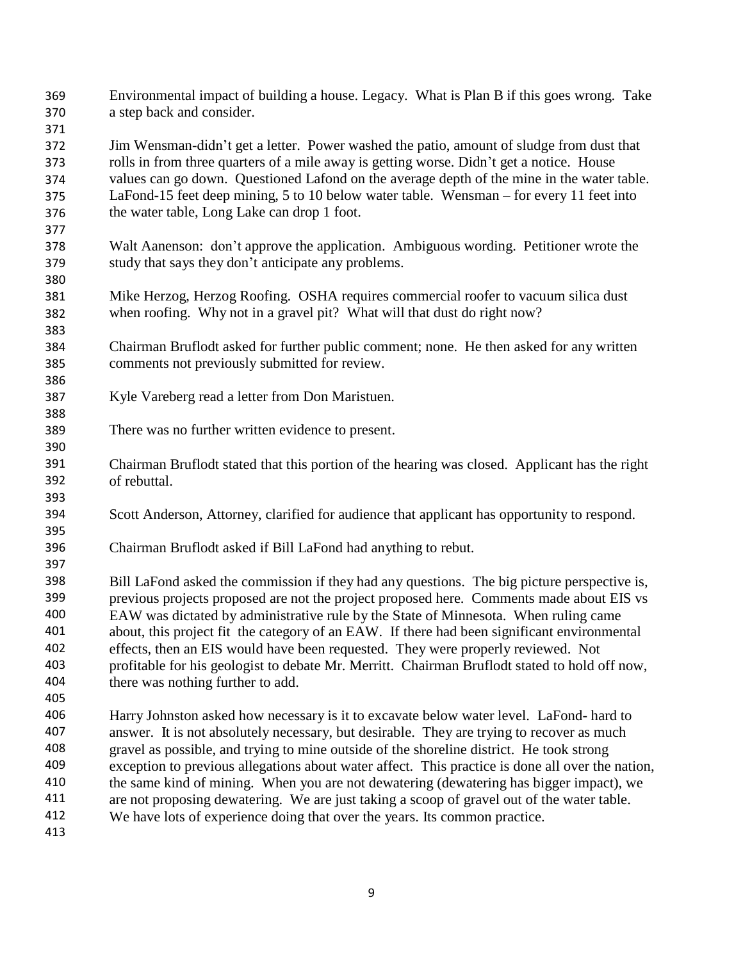369 370 Environmental impact of building a house. Legacy. What is Plan B if this goes wrong. Take a step back and consider.

372 373 374 375 376 Jim Wensman-didn't get a letter. Power washed the patio, amount of sludge from dust that rolls in from three quarters of a mile away is getting worse. Didn't get a notice. House values can go down. Questioned Lafond on the average depth of the mine in the water table. LaFond-15 feet deep mining, 5 to 10 below water table. Wensman – for every 11 feet into the water table, Long Lake can drop 1 foot.

- 378 379 Walt Aanenson: don't approve the application. Ambiguous wording. Petitioner wrote the study that says they don't anticipate any problems.
- 381 382 Mike Herzog, Herzog Roofing. OSHA requires commercial roofer to vacuum silica dust when roofing. Why not in a gravel pit? What will that dust do right now?
- 384 385 Chairman Bruflodt asked for further public comment; none. He then asked for any written comments not previously submitted for review.
- 387 Kyle Vareberg read a letter from Don Maristuen.
- 389 There was no further written evidence to present.
- 391 392 Chairman Bruflodt stated that this portion of the hearing was closed. Applicant has the right of rebuttal.
- 394 Scott Anderson, Attorney, clarified for audience that applicant has opportunity to respond.
- 396 Chairman Bruflodt asked if Bill LaFond had anything to rebut.

398 399 400 401 402 403 404 Bill LaFond asked the commission if they had any questions. The big picture perspective is, previous projects proposed are not the project proposed here. Comments made about EIS vs EAW was dictated by administrative rule by the State of Minnesota. When ruling came about, this project fit the category of an EAW. If there had been significant environmental effects, then an EIS would have been requested. They were properly reviewed. Not profitable for his geologist to debate Mr. Merritt. Chairman Bruflodt stated to hold off now, there was nothing further to add.

405

371

377

380

383

386

388

390

393

395

397

406 407 408 409 410 411 412 Harry Johnston asked how necessary is it to excavate below water level. LaFond- hard to answer. It is not absolutely necessary, but desirable. They are trying to recover as much gravel as possible, and trying to mine outside of the shoreline district. He took strong exception to previous allegations about water affect. This practice is done all over the nation, the same kind of mining. When you are not dewatering (dewatering has bigger impact), we are not proposing dewatering. We are just taking a scoop of gravel out of the water table. We have lots of experience doing that over the years. Its common practice.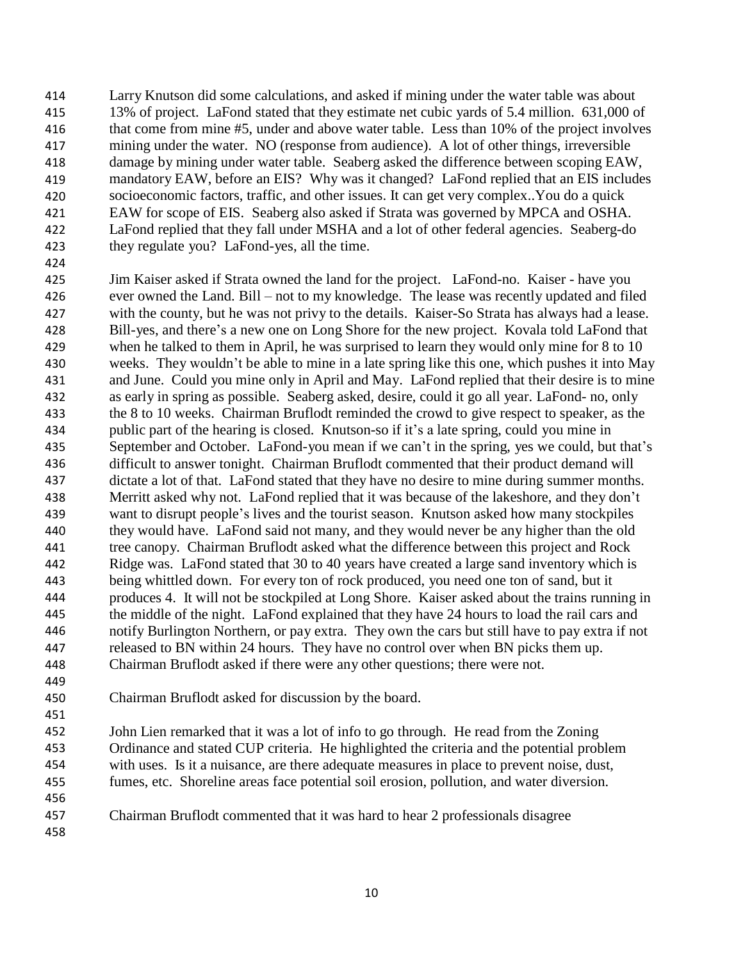414 415 416 417 418 419 420 421 422 423 Larry Knutson did some calculations, and asked if mining under the water table was about 13% of project. LaFond stated that they estimate net cubic yards of 5.4 million. 631,000 of that come from mine #5, under and above water table. Less than 10% of the project involves mining under the water. NO (response from audience). A lot of other things, irreversible damage by mining under water table. Seaberg asked the difference between scoping EAW, mandatory EAW, before an EIS? Why was it changed? LaFond replied that an EIS includes socioeconomic factors, traffic, and other issues. It can get very complex..You do a quick EAW for scope of EIS. Seaberg also asked if Strata was governed by MPCA and OSHA. LaFond replied that they fall under MSHA and a lot of other federal agencies. Seaberg-do they regulate you? LaFond-yes, all the time.

424

425 426 427 428 429 430 431 432 433 434 435 436 437 438 439 440 441 442 443 444 445 446 447 448 449 Jim Kaiser asked if Strata owned the land for the project. LaFond-no. Kaiser - have you ever owned the Land. Bill – not to my knowledge. The lease was recently updated and filed with the county, but he was not privy to the details. Kaiser-So Strata has always had a lease. Bill-yes, and there's a new one on Long Shore for the new project. Kovala told LaFond that when he talked to them in April, he was surprised to learn they would only mine for 8 to 10 weeks. They wouldn't be able to mine in a late spring like this one, which pushes it into May and June. Could you mine only in April and May. LaFond replied that their desire is to mine as early in spring as possible. Seaberg asked, desire, could it go all year. LaFond- no, only the 8 to 10 weeks. Chairman Bruflodt reminded the crowd to give respect to speaker, as the public part of the hearing is closed. Knutson-so if it's a late spring, could you mine in September and October. LaFond-you mean if we can't in the spring, yes we could, but that's difficult to answer tonight. Chairman Bruflodt commented that their product demand will dictate a lot of that. LaFond stated that they have no desire to mine during summer months. Merritt asked why not. LaFond replied that it was because of the lakeshore, and they don't want to disrupt people's lives and the tourist season. Knutson asked how many stockpiles they would have. LaFond said not many, and they would never be any higher than the old tree canopy. Chairman Bruflodt asked what the difference between this project and Rock Ridge was. LaFond stated that 30 to 40 years have created a large sand inventory which is being whittled down. For every ton of rock produced, you need one ton of sand, but it produces 4. It will not be stockpiled at Long Shore. Kaiser asked about the trains running in the middle of the night. LaFond explained that they have 24 hours to load the rail cars and notify Burlington Northern, or pay extra. They own the cars but still have to pay extra if not released to BN within 24 hours. They have no control over when BN picks them up. Chairman Bruflodt asked if there were any other questions; there were not.

450 Chairman Bruflodt asked for discussion by the board.

452 453 454 455 456 John Lien remarked that it was a lot of info to go through. He read from the Zoning Ordinance and stated CUP criteria. He highlighted the criteria and the potential problem with uses. Is it a nuisance, are there adequate measures in place to prevent noise, dust, fumes, etc. Shoreline areas face potential soil erosion, pollution, and water diversion.

- 457 Chairman Bruflodt commented that it was hard to hear 2 professionals disagree
- 458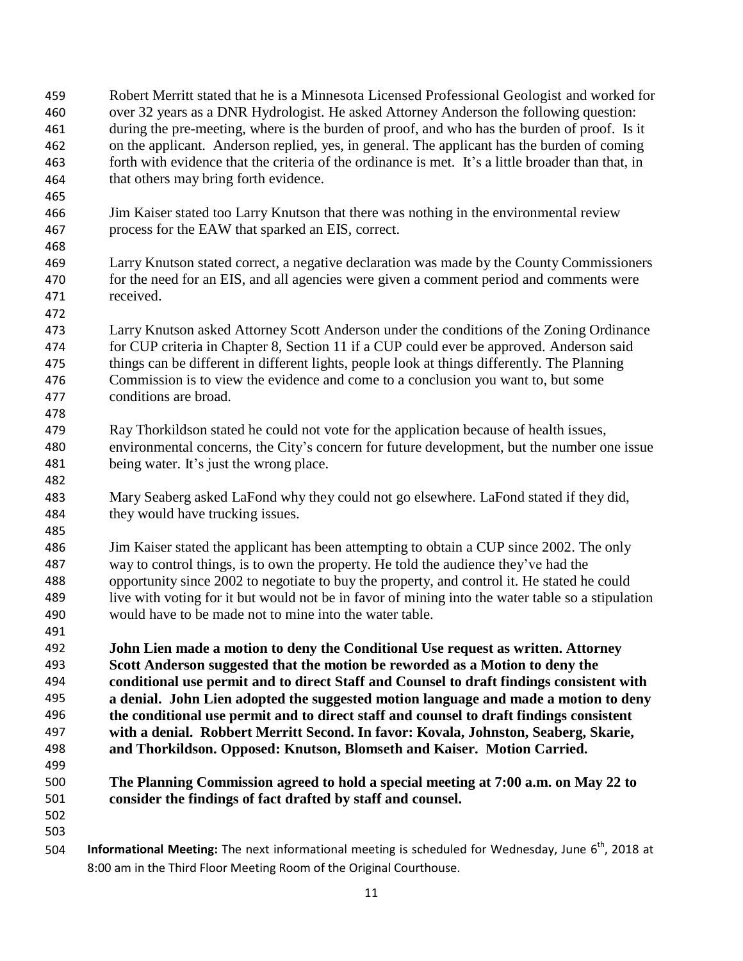- 459 460 461 462 463 464 465 466 467 468 469 470 471 472 473 474 475 476 477 478 479 480 481 482 483 484 485 486 487 488 489 490 491 492 493 494 495 496 497 498 499 500 501 502 503 504 Robert Merritt stated that he is a Minnesota Licensed Professional Geologist and worked for over 32 years as a DNR Hydrologist. He asked Attorney Anderson the following question: during the pre-meeting, where is the burden of proof, and who has the burden of proof. Is it on the applicant. Anderson replied, yes, in general. The applicant has the burden of coming forth with evidence that the criteria of the ordinance is met. It's a little broader than that, in that others may bring forth evidence. Jim Kaiser stated too Larry Knutson that there was nothing in the environmental review process for the EAW that sparked an EIS, correct. Larry Knutson stated correct, a negative declaration was made by the County Commissioners for the need for an EIS, and all agencies were given a comment period and comments were received. Larry Knutson asked Attorney Scott Anderson under the conditions of the Zoning Ordinance for CUP criteria in Chapter 8, Section 11 if a CUP could ever be approved. Anderson said things can be different in different lights, people look at things differently. The Planning Commission is to view the evidence and come to a conclusion you want to, but some conditions are broad. Ray Thorkildson stated he could not vote for the application because of health issues, environmental concerns, the City's concern for future development, but the number one issue being water. It's just the wrong place. Mary Seaberg asked LaFond why they could not go elsewhere. LaFond stated if they did, they would have trucking issues. Jim Kaiser stated the applicant has been attempting to obtain a CUP since 2002. The only way to control things, is to own the property. He told the audience they've had the opportunity since 2002 to negotiate to buy the property, and control it. He stated he could live with voting for it but would not be in favor of mining into the water table so a stipulation would have to be made not to mine into the water table. **John Lien made a motion to deny the Conditional Use request as written. Attorney Scott Anderson suggested that the motion be reworded as a Motion to deny the conditional use permit and to direct Staff and Counsel to draft findings consistent with a denial. John Lien adopted the suggested motion language and made a motion to deny the conditional use permit and to direct staff and counsel to draft findings consistent with a denial. Robbert Merritt Second. In favor: Kovala, Johnston, Seaberg, Skarie, and Thorkildson. Opposed: Knutson, Blomseth and Kaiser. Motion Carried. The Planning Commission agreed to hold a special meeting at 7:00 a.m. on May 22 to consider the findings of fact drafted by staff and counsel. Informational Meeting:** The next informational meeting is scheduled for Wednesday, June 6<sup>th</sup>, 2018 at
	- 8:00 am in the Third Floor Meeting Room of the Original Courthouse.